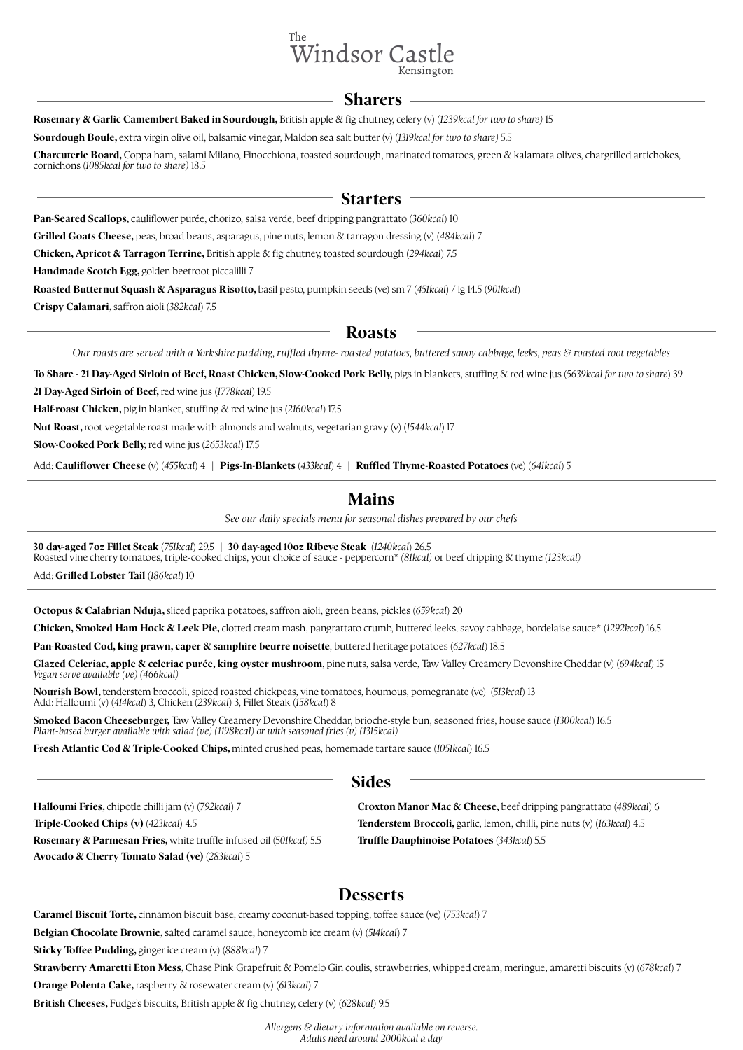

#### **Sharers**

**Rosemary & Garlic Camembert Baked in Sourdough,** British apple & fig chutney, celery (v) (1239kcal for two to share) 15

**Sourdough Boule,** extra virgin olive oil, balsamic vinegar, Maldon sea salt butter (v) (*1319kcal for two to share)* 5.5

**Charcuterie Board,** Coppa ham, salami Milano, Finocchiona, toasted sourdough, marinated tomatoes, green & kalamata olives, chargrilled ar tichokes, cornichons (*1085kcal for two to share)* 18.5

## **Starters**

**Pan-Seared Scallops,** cauliflower purée, chorizo, salsa verde, beef dripping pangrattato (*360kcal*) 10

**Grilled Goats Cheese,** peas, broad beans, asparagus, pine nuts, lemon & tarragon dressing (v) (*484kcal*) 7

**Chicken, Apricot & Tarragon Terrine, British apple & fig chutney, toasted sourdough (294kcal) 7.5** 

**Handmade Scotch Egg,** golden beetroot piccalilli 7

**Roasted Butternut Squash & Asparagus Risotto,** basil pesto, pumpkin seeds (ve) sm 7 (*451kcal*) / lg 14.5 (*901kcal*)

**Crispy Calamari,** saffron aioli (*382kcal*) 7.5

### **Roasts**

*Our roasts are served with a Yorkshire pudding, ruffled thyme- roasted potatoes, buttered savoy cabbage, leeks, peas & roasted root vegetables*

To Share - 21 Day-Aged Sirloin of Beef, Roast Chicken, Slow-Cooked Pork Belly, pigs in blankets, stuffing & red wine jus (5639kcal for two to share) 39

**21 Day-Aged Sirloin of Beef,** red wine jus (*1778kcal*) 19.5

**Half-roast Chicken,** pig in blanket, stuffing & red wine jus (2160kcal) 17.5

**Nut Roast,** root vegetable roast made with almonds and walnuts, vegetarian grav y (v) (*1544kcal*) 17

**Slow-Cooked Pork Belly,** red wine jus (*2653kcal*) 17.5

Add: **Cauliflower Cheese** (v) (*455kcal*) 4 | **Pigs-In-Blankets** (*433kcal*) 4 | **Ruffled Thyme-Roasted Potatoes** (ve) (*641kcal*) 5

# **Mains**

*See our daily specials menu for seasonal dishes prepared by our chefs*

**30 day-aged 7oz Fillet Steak** (*751kcal*) 29.5 | **30 day-aged 10oz Ribeye Steak** (*1240kcal*) 26.5 Roasted vine cherry tomatoes, triple-cooked chips, your choice of sauce - peppercorn\* *(81kcal)* or beef dripping & thyme *(123kcal)*

Add: **Grilled Lobster Tail** (*186kcal*) 10

j

**Octopus & Calabrian Nduja,** sliced paprika potatoes, saffron aioli, green beans, pickles (659kcal) 20

**Chicken, Smoked Ham Hock & Leek Pie,** clotted cream mash, pangrattato crumb, buttered leeks, savoy cabbage, bordelaise sauce\* (*1292kcal*) 16.5

**Pan-Roasted Cod, king prawn, caper & samphire beurre noisette**, buttered heritage potatoes (*627kcal*) 18.5

**Glazed Celeriac, apple & celeriac purée, king oyster mushroom**, pine nuts, salsa verde, Taw Valley Creamery Devonshire Cheddar (v) (*694kcal*) 15 *Vegan serve available (ve) (466kcal)*

**Nourish Bowl,** tenderstem broccoli, spiced roasted chickpeas, vine tomatoes, houmous, pomegranate (ve) (*513kcal*) 13 Add: Halloumi (v) (*414kcal*) 3, Chicken (*239kcal*) 3, Fillet Steak (*158kcal*) 8

**Smoked Bacon Cheeseburger,** Taw Valley Creamery Devonshire Cheddar, brioche-style bun, seasoned fries, house sauce (1300kcal) 16.5 *Plant-based burger available with salad (ve) (1198kcal) or with seasoned fries (v) (1315kcal)*

**Fresh Atlantic Cod & Triple-Cooked Chips,** minted crushed peas, homemade tartare sauce (*1051kcal*) 16.5

# **Sides**

**Halloumi Fries,** chipotle chilli jam (v) (*792kcal*) 7 **Triple-Cooked Chips (v)** (*423kcal*) 4.5 **Rosemary & Parmesan Fries,** white truffle-infused oil (5*01kcal)* 5.5 **Avocado & Cherry Tomato Salad (ve)** (*283kcal*) 5

**Croxton Manor Mac & Cheese,** beef dripping pangrattato (*489kcal*) 6 **Tenderstem Broccoli,** garlic, lemon, chilli, pine nuts (v) (*163kcal*) 4.5 **Truffle Dauphinoise Potatoes** (*343kcal*) 5.5

# **Desserts**

**Caramel Biscuit Torte,** cinnamon biscuit base, creamy coconut-based topping, toffee sauce (ve) (*753kcal*) 7

**Belgian Chocolate Brownie,** salted caramel sauce, honeycomb ice cream (v) (*514kcal*) 7

**Sticky Toffee Pudding,** ginger ice cream (v) (*888kcal*) 7

**Strawberry Amaretti Eton Mess,** Chase Pink Grapefruit & Pomelo Gin coulis, strawberries, whipped cream, meringue, amaretti biscuits (v) (678kcal) 7

**Orange Polenta Cake,** raspberry & rosewater cream (v) (*613kcal*) 7

**British Cheeses, Fudge's biscuits, British apple & fig chutney, celery (v) (628kcal) 9.5** 

*Allergens & dietary information available on reverse. Adults need around 2000kcal a day*